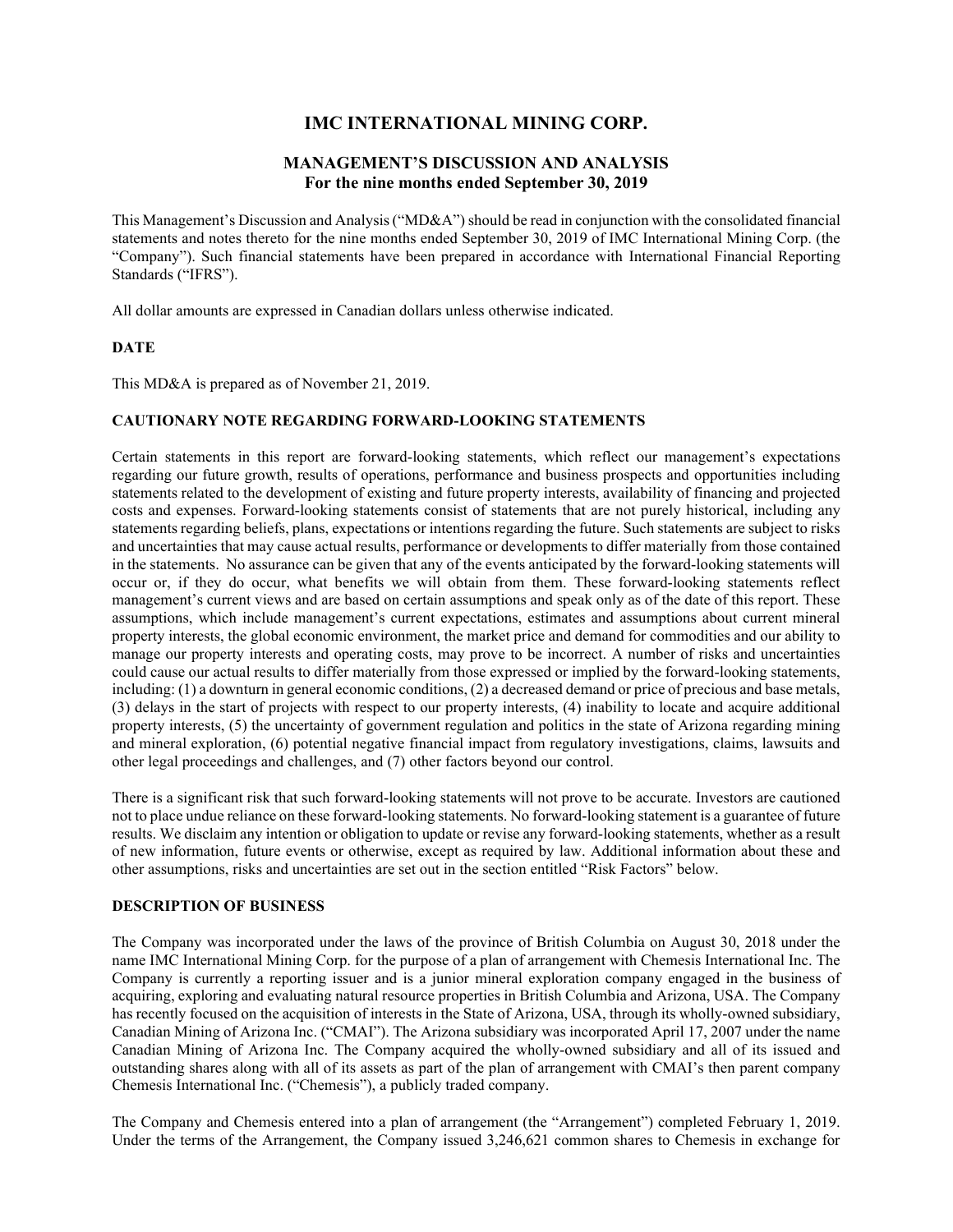# **IMC INTERNATIONAL MINING CORP.**

# **MANAGEMENT'S DISCUSSION AND ANALYSIS For the nine months ended September 30, 2019**

This Management's Discussion and Analysis ("MD&A") should be read in conjunction with the consolidated financial statements and notes thereto for the nine months ended September 30, 2019 of IMC International Mining Corp. (the "Company"). Such financial statements have been prepared in accordance with International Financial Reporting Standards ("IFRS").

All dollar amounts are expressed in Canadian dollars unless otherwise indicated.

## **DATE**

This MD&A is prepared as of November 21, 2019.

# **CAUTIONARY NOTE REGARDING FORWARD-LOOKING STATEMENTS**

Certain statements in this report are forward-looking statements, which reflect our management's expectations regarding our future growth, results of operations, performance and business prospects and opportunities including statements related to the development of existing and future property interests, availability of financing and projected costs and expenses. Forward-looking statements consist of statements that are not purely historical, including any statements regarding beliefs, plans, expectations or intentions regarding the future. Such statements are subject to risks and uncertainties that may cause actual results, performance or developments to differ materially from those contained in the statements. No assurance can be given that any of the events anticipated by the forward-looking statements will occur or, if they do occur, what benefits we will obtain from them. These forward-looking statements reflect management's current views and are based on certain assumptions and speak only as of the date of this report. These assumptions, which include management's current expectations, estimates and assumptions about current mineral property interests, the global economic environment, the market price and demand for commodities and our ability to manage our property interests and operating costs, may prove to be incorrect. A number of risks and uncertainties could cause our actual results to differ materially from those expressed or implied by the forward-looking statements, including: (1) a downturn in general economic conditions, (2) a decreased demand or price of precious and base metals, (3) delays in the start of projects with respect to our property interests, (4) inability to locate and acquire additional property interests, (5) the uncertainty of government regulation and politics in the state of Arizona regarding mining and mineral exploration, (6) potential negative financial impact from regulatory investigations, claims, lawsuits and other legal proceedings and challenges, and (7) other factors beyond our control.

There is a significant risk that such forward-looking statements will not prove to be accurate. Investors are cautioned not to place undue reliance on these forward-looking statements. No forward-looking statement is a guarantee of future results. We disclaim any intention or obligation to update or revise any forward-looking statements, whether as a result of new information, future events or otherwise, except as required by law. Additional information about these and other assumptions, risks and uncertainties are set out in the section entitled "Risk Factors" below.

#### **DESCRIPTION OF BUSINESS**

The Company was incorporated under the laws of the province of British Columbia on August 30, 2018 under the name IMC International Mining Corp. for the purpose of a plan of arrangement with Chemesis International Inc. The Company is currently a reporting issuer and is a junior mineral exploration company engaged in the business of acquiring, exploring and evaluating natural resource properties in British Columbia and Arizona, USA. The Company has recently focused on the acquisition of interests in the State of Arizona, USA, through its wholly-owned subsidiary, Canadian Mining of Arizona Inc. ("CMAI"). The Arizona subsidiary was incorporated April 17, 2007 under the name Canadian Mining of Arizona Inc. The Company acquired the wholly-owned subsidiary and all of its issued and outstanding shares along with all of its assets as part of the plan of arrangement with CMAI's then parent company Chemesis International Inc. ("Chemesis"), a publicly traded company.

The Company and Chemesis entered into a plan of arrangement (the "Arrangement") completed February 1, 2019. Under the terms of the Arrangement, the Company issued 3,246,621 common shares to Chemesis in exchange for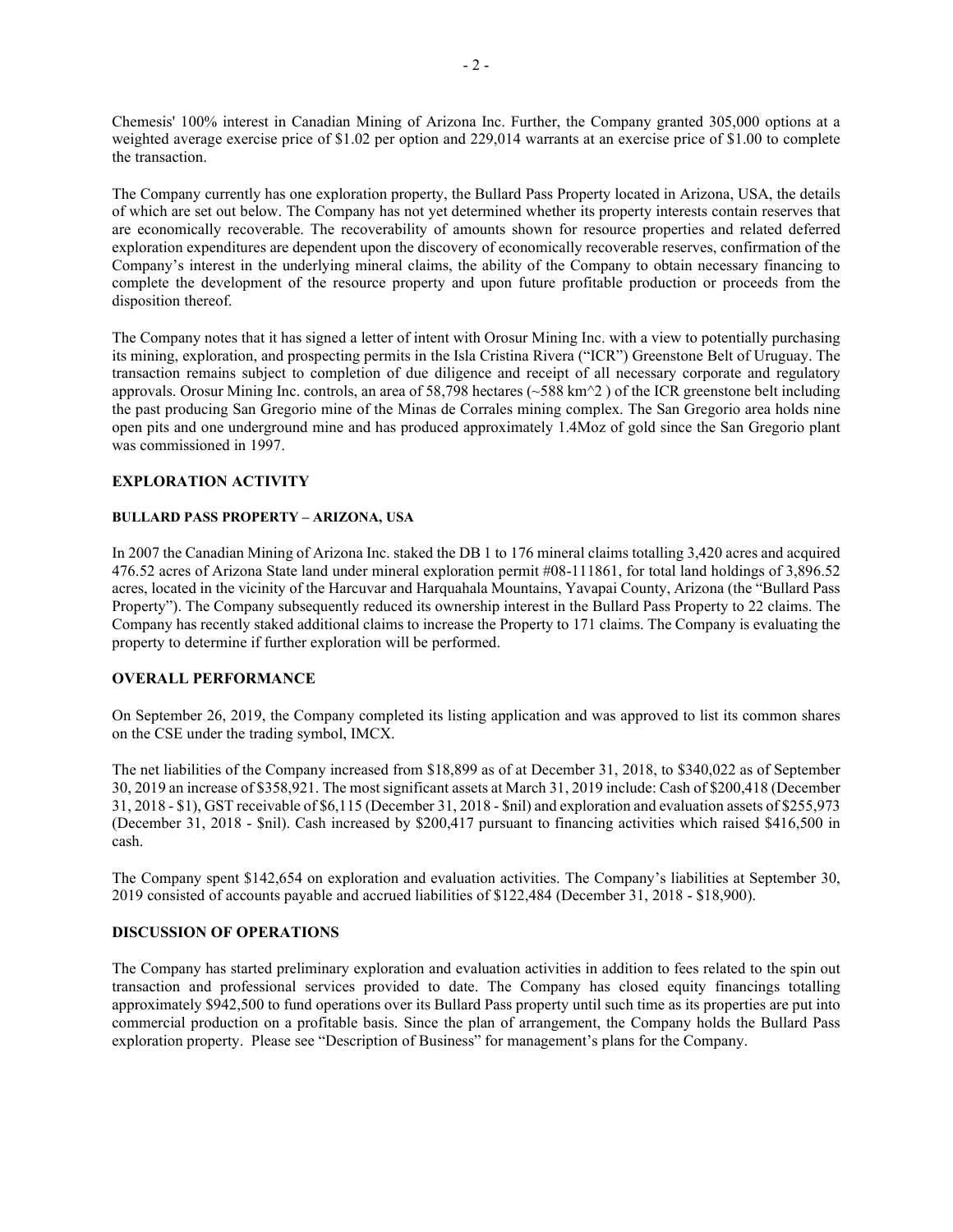Chemesis' 100% interest in Canadian Mining of Arizona Inc. Further, the Company granted 305,000 options at a weighted average exercise price of \$1.02 per option and 229.014 warrants at an exercise price of \$1.00 to complete the transaction.

The Company currently has one exploration property, the Bullard Pass Property located in Arizona, USA, the details of which are set out below. The Company has not yet determined whether its property interests contain reserves that are economically recoverable. The recoverability of amounts shown for resource properties and related deferred exploration expenditures are dependent upon the discovery of economically recoverable reserves, confirmation of the Company's interest in the underlying mineral claims, the ability of the Company to obtain necessary financing to complete the development of the resource property and upon future profitable production or proceeds from the disposition thereof.

The Company notes that it has signed a letter of intent with Orosur Mining Inc. with a view to potentially purchasing its mining, exploration, and prospecting permits in the Isla Cristina Rivera ("ICR") Greenstone Belt of Uruguay. The transaction remains subject to completion of due diligence and receipt of all necessary corporate and regulatory approvals. Orosur Mining Inc. controls, an area of 58,798 hectares (~588 km^2 ) of the ICR greenstone belt including the past producing San Gregorio mine of the Minas de Corrales mining complex. The San Gregorio area holds nine open pits and one underground mine and has produced approximately 1.4Moz of gold since the San Gregorio plant was commissioned in 1997.

## **EXPLORATION ACTIVITY**

#### **BULLARD PASS PROPERTY – ARIZONA, USA**

In 2007 the Canadian Mining of Arizona Inc. staked the DB 1 to 176 mineral claims totalling 3,420 acres and acquired 476.52 acres of Arizona State land under mineral exploration permit #08-111861, for total land holdings of 3,896.52 acres, located in the vicinity of the Harcuvar and Harquahala Mountains, Yavapai County, Arizona (the "Bullard Pass Property"). The Company subsequently reduced its ownership interest in the Bullard Pass Property to 22 claims. The Company has recently staked additional claims to increase the Property to 171 claims. The Company is evaluating the property to determine if further exploration will be performed.

### **OVERALL PERFORMANCE**

On September 26, 2019, the Company completed its listing application and was approved to list its common shares on the CSE under the trading symbol, IMCX.

The net liabilities of the Company increased from \$18,899 as of at December 31, 2018, to \$340,022 as of September 30, 2019 an increase of \$358,921. The most significant assets at March 31, 2019 include: Cash of \$200,418 (December 31, 2018 - \$1), GST receivable of \$6,115 (December 31, 2018 - \$nil) and exploration and evaluation assets of \$255,973 (December 31, 2018 - \$nil). Cash increased by \$200,417 pursuant to financing activities which raised \$416,500 in cash.

The Company spent \$142,654 on exploration and evaluation activities. The Company's liabilities at September 30, 2019 consisted of accounts payable and accrued liabilities of \$122,484 (December 31, 2018 - \$18,900).

#### **DISCUSSION OF OPERATIONS**

The Company has started preliminary exploration and evaluation activities in addition to fees related to the spin out transaction and professional services provided to date. The Company has closed equity financings totalling approximately \$942,500 to fund operations over its Bullard Pass property until such time as its properties are put into commercial production on a profitable basis. Since the plan of arrangement, the Company holds the Bullard Pass exploration property. Please see "Description of Business" for management's plans for the Company.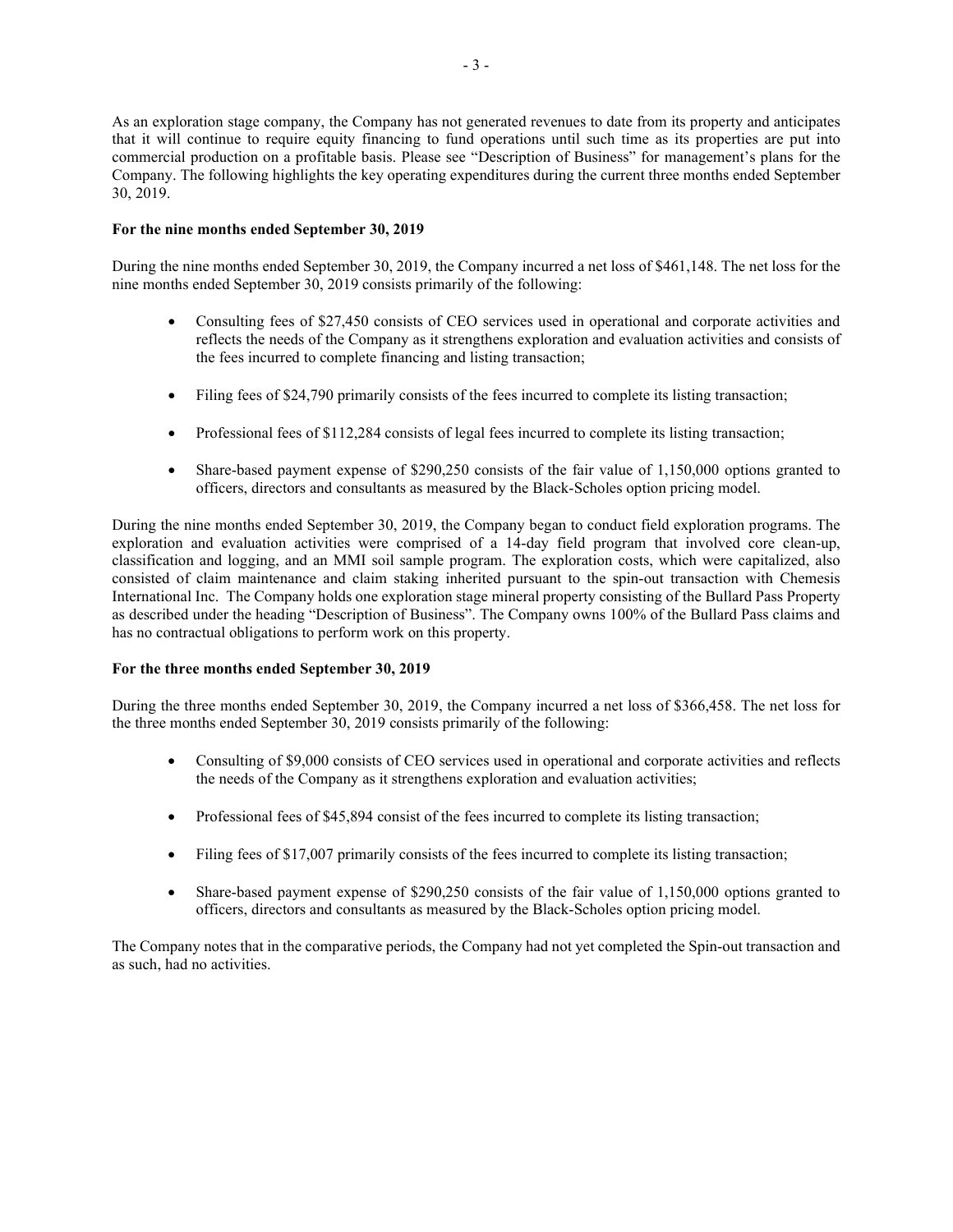As an exploration stage company, the Company has not generated revenues to date from its property and anticipates that it will continue to require equity financing to fund operations until such time as its properties are put into commercial production on a profitable basis. Please see "Description of Business" for management's plans for the Company. The following highlights the key operating expenditures during the current three months ended September 30, 2019.

## **For the nine months ended September 30, 2019**

During the nine months ended September 30, 2019, the Company incurred a net loss of \$461,148. The net loss for the nine months ended September 30, 2019 consists primarily of the following:

- Consulting fees of \$27,450 consists of CEO services used in operational and corporate activities and reflects the needs of the Company as it strengthens exploration and evaluation activities and consists of the fees incurred to complete financing and listing transaction;
- Filing fees of \$24,790 primarily consists of the fees incurred to complete its listing transaction;
- Professional fees of \$112,284 consists of legal fees incurred to complete its listing transaction;
- Share-based payment expense of \$290,250 consists of the fair value of 1,150,000 options granted to officers, directors and consultants as measured by the Black-Scholes option pricing model.

During the nine months ended September 30, 2019, the Company began to conduct field exploration programs. The exploration and evaluation activities were comprised of a 14-day field program that involved core clean-up, classification and logging, and an MMI soil sample program. The exploration costs, which were capitalized, also consisted of claim maintenance and claim staking inherited pursuant to the spin-out transaction with Chemesis International Inc. The Company holds one exploration stage mineral property consisting of the Bullard Pass Property as described under the heading "Description of Business". The Company owns 100% of the Bullard Pass claims and has no contractual obligations to perform work on this property.

## **For the three months ended September 30, 2019**

During the three months ended September 30, 2019, the Company incurred a net loss of \$366,458. The net loss for the three months ended September 30, 2019 consists primarily of the following:

- Consulting of \$9,000 consists of CEO services used in operational and corporate activities and reflects the needs of the Company as it strengthens exploration and evaluation activities;
- Professional fees of \$45,894 consist of the fees incurred to complete its listing transaction;
- Filing fees of \$17,007 primarily consists of the fees incurred to complete its listing transaction;
- Share-based payment expense of \$290,250 consists of the fair value of 1,150,000 options granted to officers, directors and consultants as measured by the Black-Scholes option pricing model.

The Company notes that in the comparative periods, the Company had not yet completed the Spin-out transaction and as such, had no activities.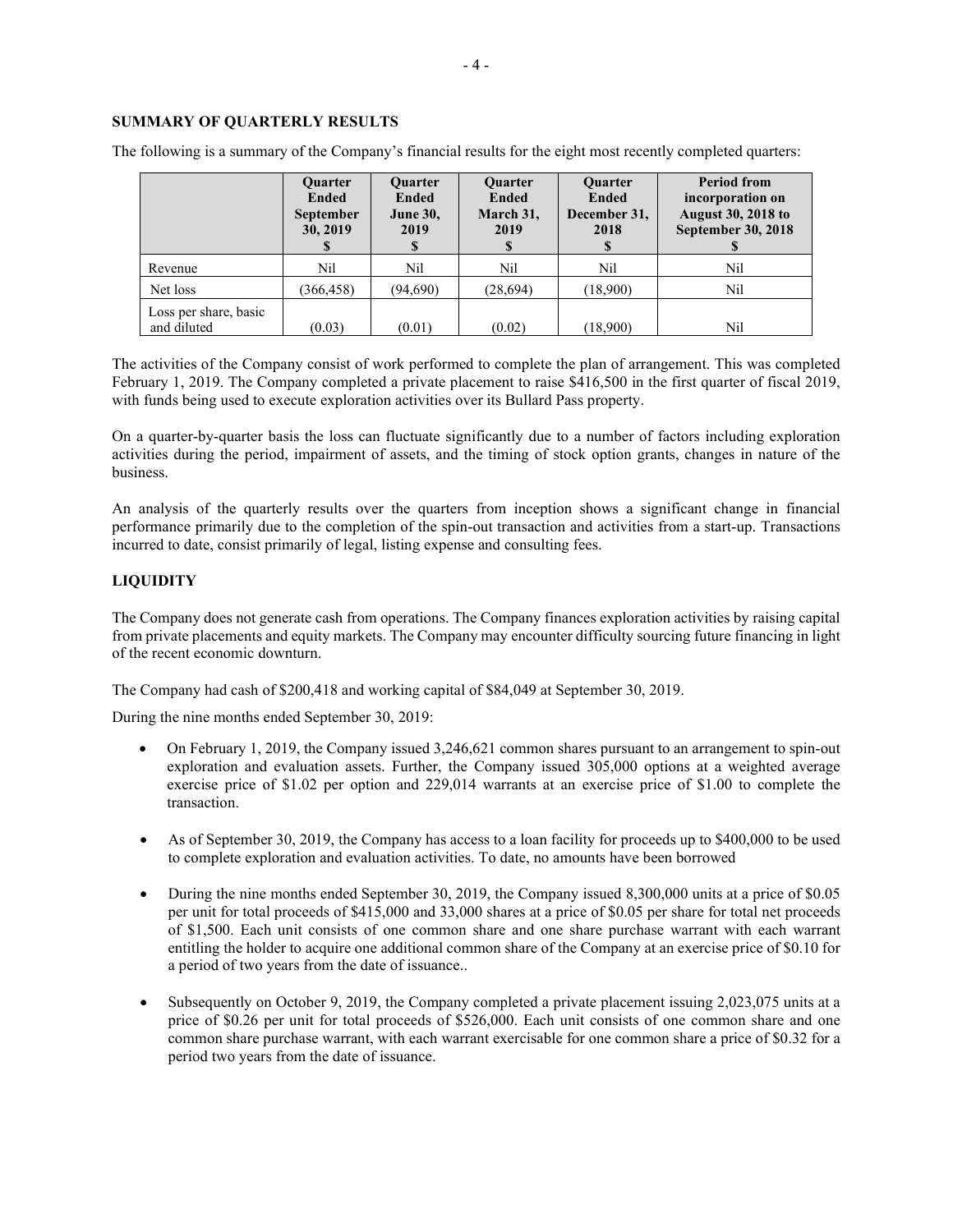# **SUMMARY OF QUARTERLY RESULTS**

|                                      | <b>Ouarter</b><br><b>Ended</b><br><b>September</b><br>30, 2019 | <b>Ouarter</b><br><b>Ended</b><br><b>June 30,</b><br>2019<br>S | <b>Ouarter</b><br>Ended<br>March 31,<br>2019 | <b>Ouarter</b><br><b>Ended</b><br>December 31,<br>2018 | <b>Period from</b><br>incorporation on<br><b>August 30, 2018 to</b><br><b>September 30, 2018</b> |
|--------------------------------------|----------------------------------------------------------------|----------------------------------------------------------------|----------------------------------------------|--------------------------------------------------------|--------------------------------------------------------------------------------------------------|
| Revenue                              | Nil                                                            | Nil                                                            | Nil                                          | Nil                                                    | Nil                                                                                              |
| Net loss                             | (366, 458)                                                     | (94,690)                                                       | (28,694)                                     | (18,900)                                               | Nil                                                                                              |
| Loss per share, basic<br>and diluted | (0.03)                                                         | (0.01)                                                         | (0.02)                                       | (18,900)                                               | Nil                                                                                              |

The following is a summary of the Company's financial results for the eight most recently completed quarters:

The activities of the Company consist of work performed to complete the plan of arrangement. This was completed February 1, 2019. The Company completed a private placement to raise \$416,500 in the first quarter of fiscal 2019, with funds being used to execute exploration activities over its Bullard Pass property.

On a quarter-by-quarter basis the loss can fluctuate significantly due to a number of factors including exploration activities during the period, impairment of assets, and the timing of stock option grants, changes in nature of the business.

An analysis of the quarterly results over the quarters from inception shows a significant change in financial performance primarily due to the completion of the spin-out transaction and activities from a start-up. Transactions incurred to date, consist primarily of legal, listing expense and consulting fees.

# **LIQUIDITY**

The Company does not generate cash from operations. The Company finances exploration activities by raising capital from private placements and equity markets. The Company may encounter difficulty sourcing future financing in light of the recent economic downturn.

The Company had cash of \$200,418 and working capital of \$84,049 at September 30, 2019.

During the nine months ended September 30, 2019:

- On February 1, 2019, the Company issued 3,246,621 common shares pursuant to an arrangement to spin-out exploration and evaluation assets. Further, the Company issued 305,000 options at a weighted average exercise price of \$1.02 per option and 229,014 warrants at an exercise price of \$1.00 to complete the transaction.
- As of September 30, 2019, the Company has access to a loan facility for proceeds up to \$400,000 to be used to complete exploration and evaluation activities. To date, no amounts have been borrowed
- During the nine months ended September 30, 2019, the Company issued 8,300,000 units at a price of \$0.05 per unit for total proceeds of \$415,000 and 33,000 shares at a price of \$0.05 per share for total net proceeds of \$1,500. Each unit consists of one common share and one share purchase warrant with each warrant entitling the holder to acquire one additional common share of the Company at an exercise price of \$0.10 for a period of two years from the date of issuance..
- Subsequently on October 9, 2019, the Company completed a private placement issuing 2,023,075 units at a price of \$0.26 per unit for total proceeds of \$526,000. Each unit consists of one common share and one common share purchase warrant, with each warrant exercisable for one common share a price of \$0.32 for a period two years from the date of issuance.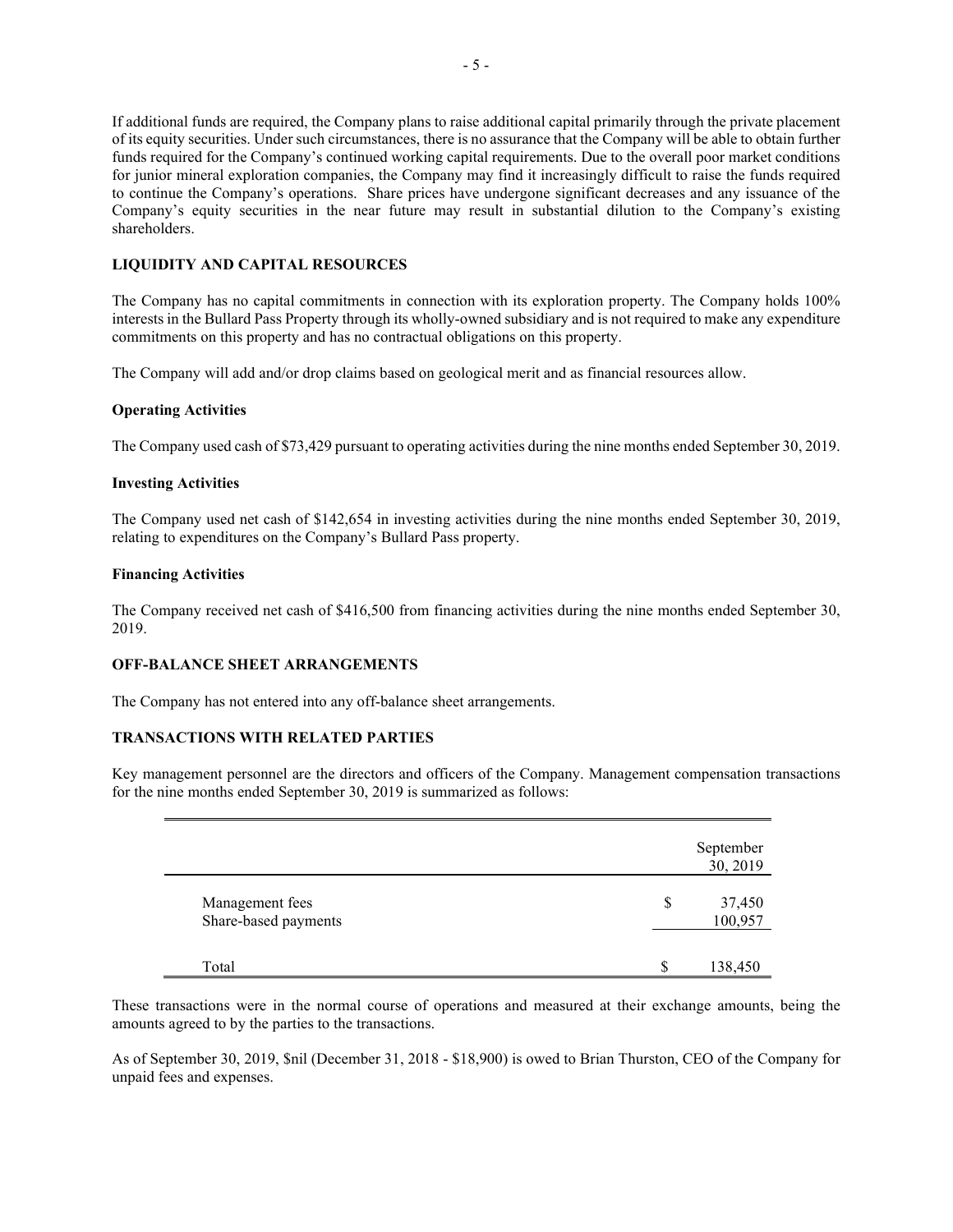If additional funds are required, the Company plans to raise additional capital primarily through the private placement of its equity securities. Under such circumstances, there is no assurance that the Company will be able to obtain further funds required for the Company's continued working capital requirements. Due to the overall poor market conditions for junior mineral exploration companies, the Company may find it increasingly difficult to raise the funds required to continue the Company's operations. Share prices have undergone significant decreases and any issuance of the Company's equity securities in the near future may result in substantial dilution to the Company's existing shareholders.

## **LIQUIDITY AND CAPITAL RESOURCES**

The Company has no capital commitments in connection with its exploration property. The Company holds 100% interests in the Bullard Pass Property through its wholly-owned subsidiary and is not required to make any expenditure commitments on this property and has no contractual obligations on this property.

The Company will add and/or drop claims based on geological merit and as financial resources allow.

#### **Operating Activities**

The Company used cash of \$73,429 pursuant to operating activities during the nine months ended September 30, 2019.

## **Investing Activities**

The Company used net cash of \$142,654 in investing activities during the nine months ended September 30, 2019, relating to expenditures on the Company's Bullard Pass property.

#### **Financing Activities**

The Company received net cash of \$416,500 from financing activities during the nine months ended September 30, 2019.

#### **OFF-BALANCE SHEET ARRANGEMENTS**

The Company has not entered into any off-balance sheet arrangements.

## **TRANSACTIONS WITH RELATED PARTIES**

Key management personnel are the directors and officers of the Company. Management compensation transactions for the nine months ended September 30, 2019 is summarized as follows:

|                                         | September<br>30, 2019   |
|-----------------------------------------|-------------------------|
| Management fees<br>Share-based payments | \$<br>37,450<br>100,957 |
| Total                                   | \$<br>138,450           |

These transactions were in the normal course of operations and measured at their exchange amounts, being the amounts agreed to by the parties to the transactions.

As of September 30, 2019, \$nil (December 31, 2018 - \$18,900) is owed to Brian Thurston, CEO of the Company for unpaid fees and expenses.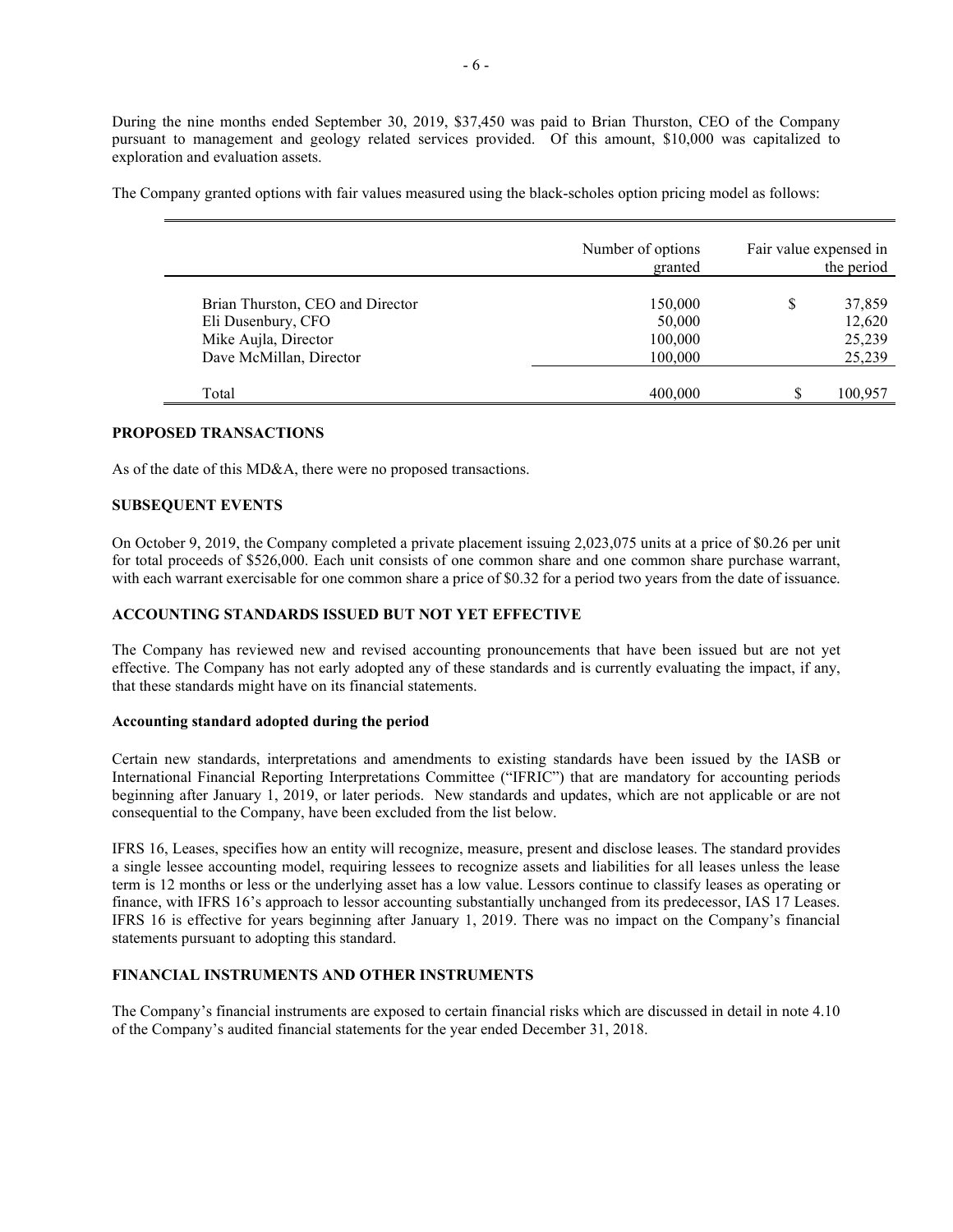During the nine months ended September 30, 2019, \$37,450 was paid to Brian Thurston, CEO of the Company pursuant to management and geology related services provided. Of this amount, \$10,000 was capitalized to exploration and evaluation assets.

The Company granted options with fair values measured using the black-scholes option pricing model as follows:

|                                                                                                           | Number of options<br>granted            | Fair value expensed in | the period                           |
|-----------------------------------------------------------------------------------------------------------|-----------------------------------------|------------------------|--------------------------------------|
| Brian Thurston, CEO and Director<br>Eli Dusenbury, CFO<br>Mike Aujla, Director<br>Dave McMillan, Director | 150,000<br>50,000<br>100,000<br>100,000 | \$                     | 37,859<br>12,620<br>25,239<br>25,239 |
| Total                                                                                                     | 400,000                                 |                        | 100,957                              |

## **PROPOSED TRANSACTIONS**

As of the date of this MD&A, there were no proposed transactions.

## **SUBSEQUENT EVENTS**

On October 9, 2019, the Company completed a private placement issuing 2,023,075 units at a price of \$0.26 per unit for total proceeds of \$526,000. Each unit consists of one common share and one common share purchase warrant, with each warrant exercisable for one common share a price of \$0.32 for a period two years from the date of issuance.

#### **ACCOUNTING STANDARDS ISSUED BUT NOT YET EFFECTIVE**

The Company has reviewed new and revised accounting pronouncements that have been issued but are not yet effective. The Company has not early adopted any of these standards and is currently evaluating the impact, if any, that these standards might have on its financial statements.

#### **Accounting standard adopted during the period**

Certain new standards, interpretations and amendments to existing standards have been issued by the IASB or International Financial Reporting Interpretations Committee ("IFRIC") that are mandatory for accounting periods beginning after January 1, 2019, or later periods. New standards and updates, which are not applicable or are not consequential to the Company, have been excluded from the list below.

IFRS 16, Leases, specifies how an entity will recognize, measure, present and disclose leases. The standard provides a single lessee accounting model, requiring lessees to recognize assets and liabilities for all leases unless the lease term is 12 months or less or the underlying asset has a low value. Lessors continue to classify leases as operating or finance, with IFRS 16's approach to lessor accounting substantially unchanged from its predecessor, IAS 17 Leases. IFRS 16 is effective for years beginning after January 1, 2019. There was no impact on the Company's financial statements pursuant to adopting this standard.

# **FINANCIAL INSTRUMENTS AND OTHER INSTRUMENTS**

The Company's financial instruments are exposed to certain financial risks which are discussed in detail in note 4.10 of the Company's audited financial statements for the year ended December 31, 2018.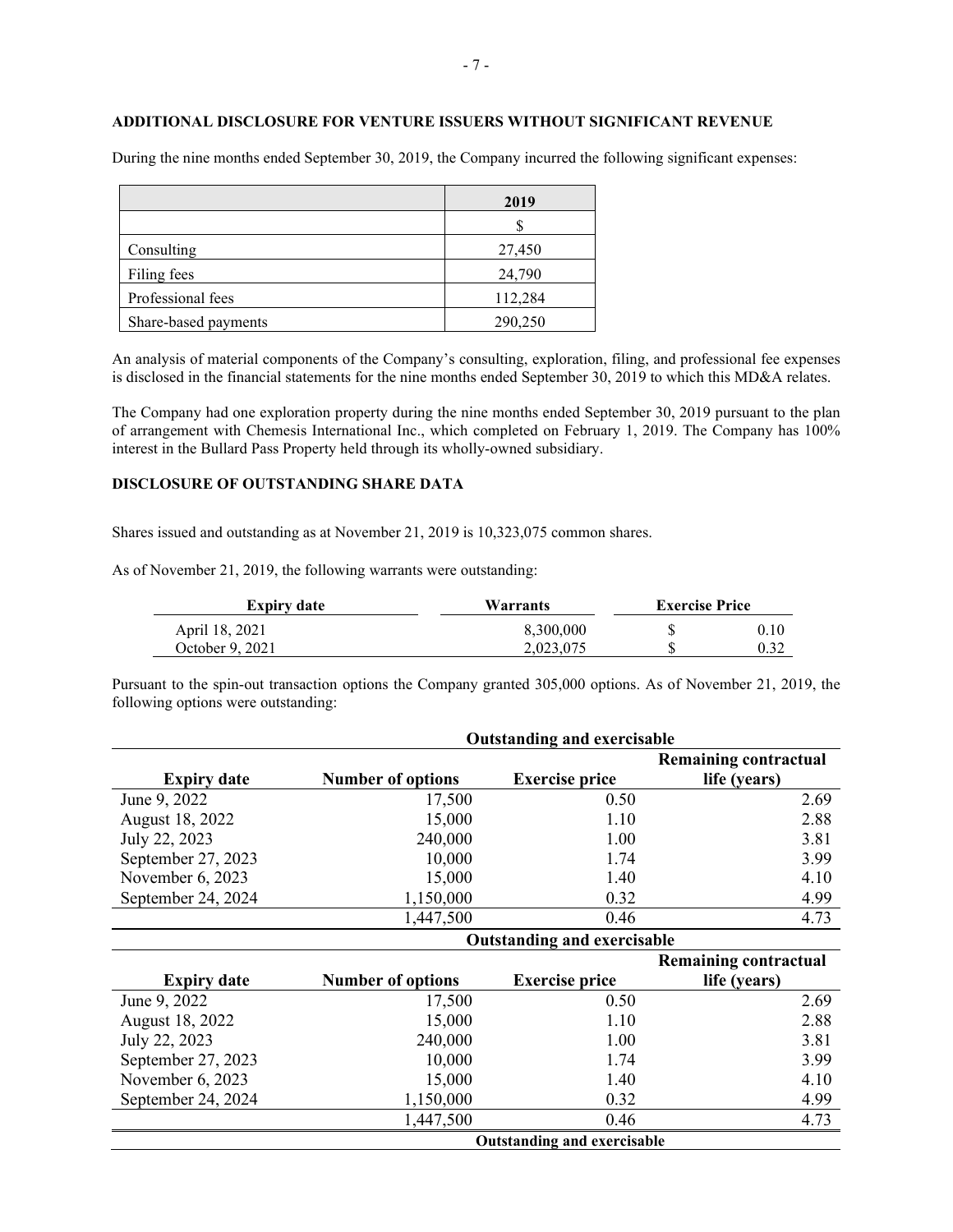# **ADDITIONAL DISCLOSURE FOR VENTURE ISSUERS WITHOUT SIGNIFICANT REVENUE**

During the nine months ended September 30, 2019, the Company incurred the following significant expenses:

|                      | 2019    |
|----------------------|---------|
|                      |         |
| Consulting           | 27,450  |
| Filing fees          | 24,790  |
| Professional fees    | 112,284 |
| Share-based payments | 290,250 |

An analysis of material components of the Company's consulting, exploration, filing, and professional fee expenses is disclosed in the financial statements for the nine months ended September 30, 2019 to which this MD&A relates.

The Company had one exploration property during the nine months ended September 30, 2019 pursuant to the plan of arrangement with Chemesis International Inc., which completed on February 1, 2019. The Company has 100% interest in the Bullard Pass Property held through its wholly-owned subsidiary.

# **DISCLOSURE OF OUTSTANDING SHARE DATA**

Shares issued and outstanding as at November 21, 2019 is 10,323,075 common shares.

As of November 21, 2019, the following warrants were outstanding:

| <b>Expiry date</b> | Warrants  | <b>Exercise Price</b> |      |
|--------------------|-----------|-----------------------|------|
| April 18, 2021     | 8,300,000 |                       | 0.10 |
| October 9, 2021    | 2.023.075 |                       | 0.32 |

Pursuant to the spin-out transaction options the Company granted 305,000 options. As of November 21, 2019, the following options were outstanding:

|                    | <b>Outstanding and exercisable</b> |                                    |                              |  |
|--------------------|------------------------------------|------------------------------------|------------------------------|--|
|                    |                                    |                                    | <b>Remaining contractual</b> |  |
| <b>Expiry date</b> | <b>Number of options</b>           | <b>Exercise price</b>              | life (years)                 |  |
| June 9, 2022       | 17,500                             | 0.50                               | 2.69                         |  |
| August 18, 2022    | 15,000                             | 1.10                               | 2.88                         |  |
| July 22, 2023      | 240,000                            | 1.00                               | 3.81                         |  |
| September 27, 2023 | 10,000                             | 1.74                               | 3.99                         |  |
| November 6, 2023   | 15,000                             | 1.40                               | 4.10                         |  |
| September 24, 2024 | 1,150,000                          | 0.32                               | 4.99                         |  |
|                    | 1,447,500                          | 0.46                               | 4.73                         |  |
|                    | <b>Outstanding and exercisable</b> |                                    |                              |  |
|                    |                                    |                                    | <b>Remaining contractual</b> |  |
| <b>Expiry date</b> | <b>Number of options</b>           | <b>Exercise price</b>              | life (years)                 |  |
| June 9, 2022       | 17,500                             | 0.50                               | 2.69                         |  |
| August 18, 2022    | 15,000                             | 1.10                               | 2.88                         |  |
| July 22, 2023      | 240,000                            | 1.00                               | 3.81                         |  |
| September 27, 2023 | 10,000                             | 1.74                               | 3.99                         |  |
| November 6, 2023   | 15,000                             | 1.40                               | 4.10                         |  |
| September 24, 2024 | 1,150,000                          | 0.32                               | 4.99                         |  |
|                    | 1,447,500                          | 0.46                               | 4.73                         |  |
|                    |                                    | <b>Outstanding and exercisable</b> |                              |  |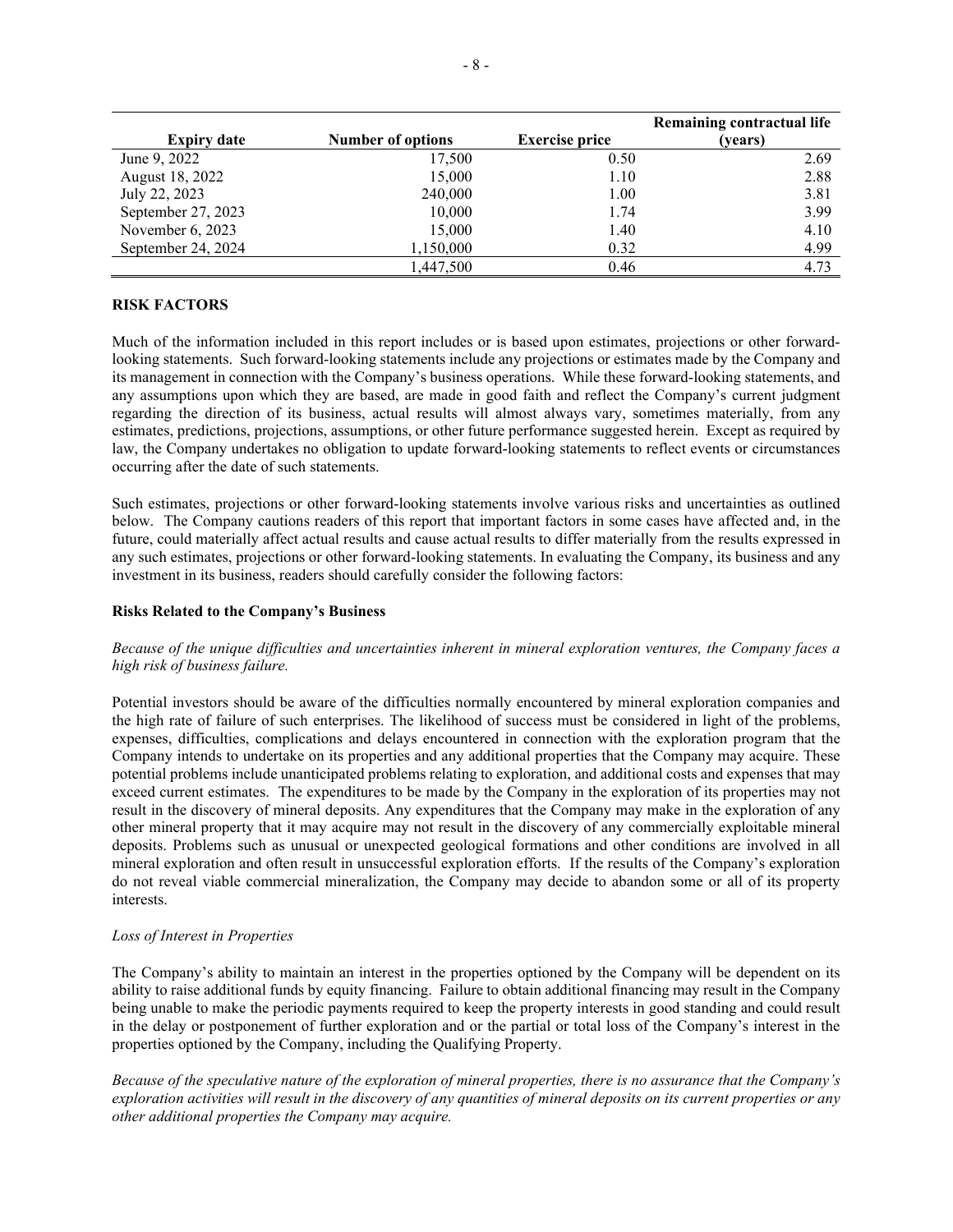|                    |                          |                       | Remaining contractual life |
|--------------------|--------------------------|-----------------------|----------------------------|
| <b>Expiry date</b> | <b>Number of options</b> | <b>Exercise price</b> | (vears)                    |
| June 9, 2022       | 17,500                   | 0.50                  | 2.69                       |
| August 18, 2022    | 15,000                   | 1.10                  | 2.88                       |
| July 22, 2023      | 240,000                  | 1.00                  | 3.81                       |
| September 27, 2023 | 10,000                   | 1.74                  | 3.99                       |
| November 6, 2023   | 15,000                   | 1.40                  | 4.10                       |
| September 24, 2024 | 1,150,000                | 0.32                  | 4.99                       |
|                    | 1,447,500                | 0.46                  | 4.73                       |

## **RISK FACTORS**

Much of the information included in this report includes or is based upon estimates, projections or other forwardlooking statements. Such forward-looking statements include any projections or estimates made by the Company and its management in connection with the Company's business operations. While these forward-looking statements, and any assumptions upon which they are based, are made in good faith and reflect the Company's current judgment regarding the direction of its business, actual results will almost always vary, sometimes materially, from any estimates, predictions, projections, assumptions, or other future performance suggested herein. Except as required by law, the Company undertakes no obligation to update forward-looking statements to reflect events or circumstances occurring after the date of such statements.

Such estimates, projections or other forward-looking statements involve various risks and uncertainties as outlined below. The Company cautions readers of this report that important factors in some cases have affected and, in the future, could materially affect actual results and cause actual results to differ materially from the results expressed in any such estimates, projections or other forward-looking statements. In evaluating the Company, its business and any investment in its business, readers should carefully consider the following factors:

## **Risks Related to the Company's Business**

## *Because of the unique difficulties and uncertainties inherent in mineral exploration ventures, the Company faces a high risk of business failure.*

Potential investors should be aware of the difficulties normally encountered by mineral exploration companies and the high rate of failure of such enterprises. The likelihood of success must be considered in light of the problems, expenses, difficulties, complications and delays encountered in connection with the exploration program that the Company intends to undertake on its properties and any additional properties that the Company may acquire. These potential problems include unanticipated problems relating to exploration, and additional costs and expenses that may exceed current estimates. The expenditures to be made by the Company in the exploration of its properties may not result in the discovery of mineral deposits. Any expenditures that the Company may make in the exploration of any other mineral property that it may acquire may not result in the discovery of any commercially exploitable mineral deposits. Problems such as unusual or unexpected geological formations and other conditions are involved in all mineral exploration and often result in unsuccessful exploration efforts. If the results of the Company's exploration do not reveal viable commercial mineralization, the Company may decide to abandon some or all of its property interests.

#### *Loss of Interest in Properties*

The Company's ability to maintain an interest in the properties optioned by the Company will be dependent on its ability to raise additional funds by equity financing. Failure to obtain additional financing may result in the Company being unable to make the periodic payments required to keep the property interests in good standing and could result in the delay or postponement of further exploration and or the partial or total loss of the Company's interest in the properties optioned by the Company, including the Qualifying Property.

*Because of the speculative nature of the exploration of mineral properties, there is no assurance that the Company's exploration activities will result in the discovery of any quantities of mineral deposits on its current properties or any other additional properties the Company may acquire.*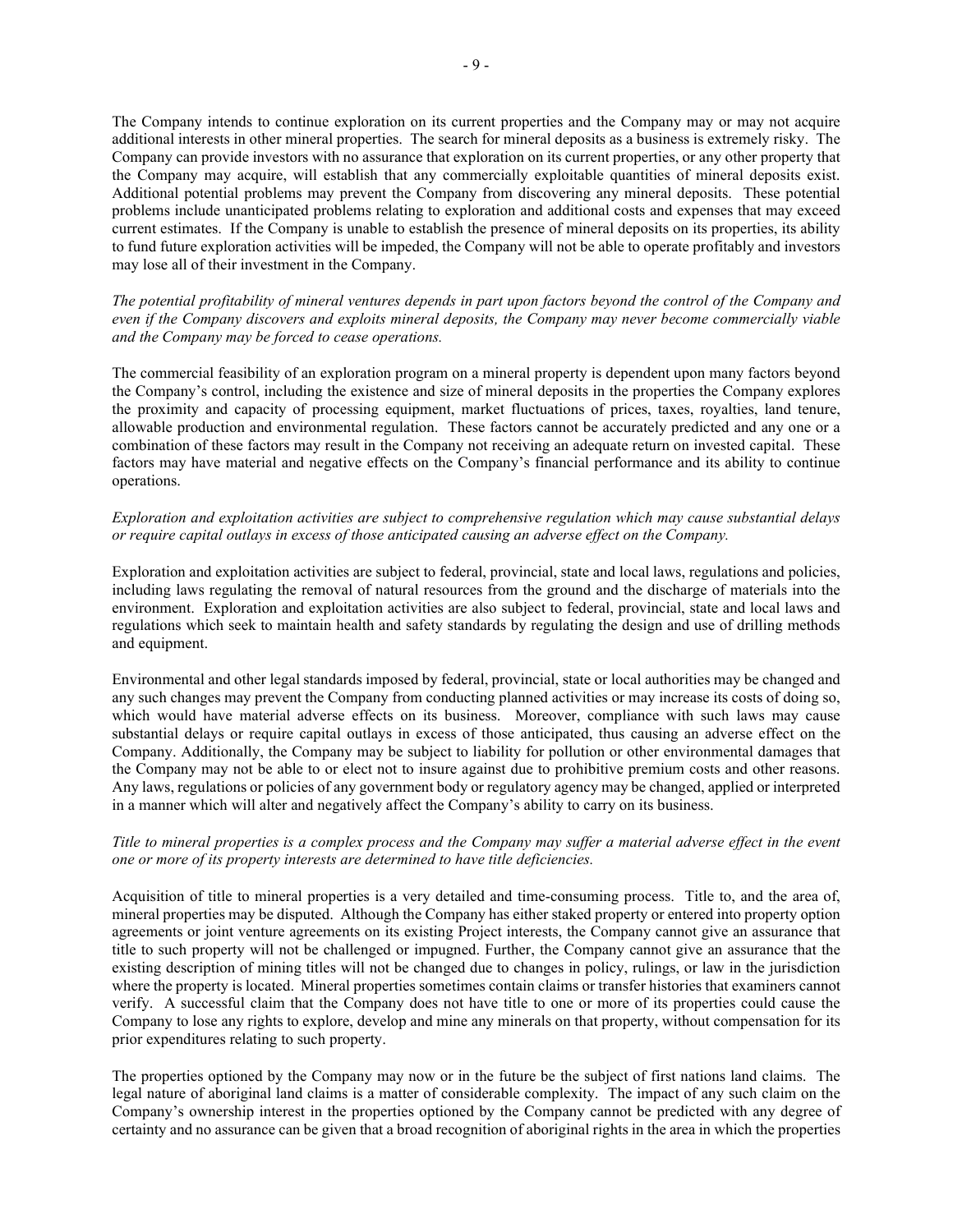The Company intends to continue exploration on its current properties and the Company may or may not acquire additional interests in other mineral properties. The search for mineral deposits as a business is extremely risky. The Company can provide investors with no assurance that exploration on its current properties, or any other property that the Company may acquire, will establish that any commercially exploitable quantities of mineral deposits exist. Additional potential problems may prevent the Company from discovering any mineral deposits. These potential problems include unanticipated problems relating to exploration and additional costs and expenses that may exceed current estimates. If the Company is unable to establish the presence of mineral deposits on its properties, its ability to fund future exploration activities will be impeded, the Company will not be able to operate profitably and investors may lose all of their investment in the Company.

*The potential profitability of mineral ventures depends in part upon factors beyond the control of the Company and even if the Company discovers and exploits mineral deposits, the Company may never become commercially viable and the Company may be forced to cease operations.*

The commercial feasibility of an exploration program on a mineral property is dependent upon many factors beyond the Company's control, including the existence and size of mineral deposits in the properties the Company explores the proximity and capacity of processing equipment, market fluctuations of prices, taxes, royalties, land tenure, allowable production and environmental regulation. These factors cannot be accurately predicted and any one or a combination of these factors may result in the Company not receiving an adequate return on invested capital. These factors may have material and negative effects on the Company's financial performance and its ability to continue operations.

## *Exploration and exploitation activities are subject to comprehensive regulation which may cause substantial delays or require capital outlays in excess of those anticipated causing an adverse effect on the Company.*

Exploration and exploitation activities are subject to federal, provincial, state and local laws, regulations and policies, including laws regulating the removal of natural resources from the ground and the discharge of materials into the environment. Exploration and exploitation activities are also subject to federal, provincial, state and local laws and regulations which seek to maintain health and safety standards by regulating the design and use of drilling methods and equipment.

Environmental and other legal standards imposed by federal, provincial, state or local authorities may be changed and any such changes may prevent the Company from conducting planned activities or may increase its costs of doing so, which would have material adverse effects on its business. Moreover, compliance with such laws may cause substantial delays or require capital outlays in excess of those anticipated, thus causing an adverse effect on the Company. Additionally, the Company may be subject to liability for pollution or other environmental damages that the Company may not be able to or elect not to insure against due to prohibitive premium costs and other reasons. Any laws, regulations or policies of any government body or regulatory agency may be changed, applied or interpreted in a manner which will alter and negatively affect the Company's ability to carry on its business.

## *Title to mineral properties is a complex process and the Company may suffer a material adverse effect in the event one or more of its property interests are determined to have title deficiencies.*

Acquisition of title to mineral properties is a very detailed and time-consuming process. Title to, and the area of, mineral properties may be disputed. Although the Company has either staked property or entered into property option agreements or joint venture agreements on its existing Project interests, the Company cannot give an assurance that title to such property will not be challenged or impugned. Further, the Company cannot give an assurance that the existing description of mining titles will not be changed due to changes in policy, rulings, or law in the jurisdiction where the property is located. Mineral properties sometimes contain claims or transfer histories that examiners cannot verify. A successful claim that the Company does not have title to one or more of its properties could cause the Company to lose any rights to explore, develop and mine any minerals on that property, without compensation for its prior expenditures relating to such property.

The properties optioned by the Company may now or in the future be the subject of first nations land claims. The legal nature of aboriginal land claims is a matter of considerable complexity. The impact of any such claim on the Company's ownership interest in the properties optioned by the Company cannot be predicted with any degree of certainty and no assurance can be given that a broad recognition of aboriginal rights in the area in which the properties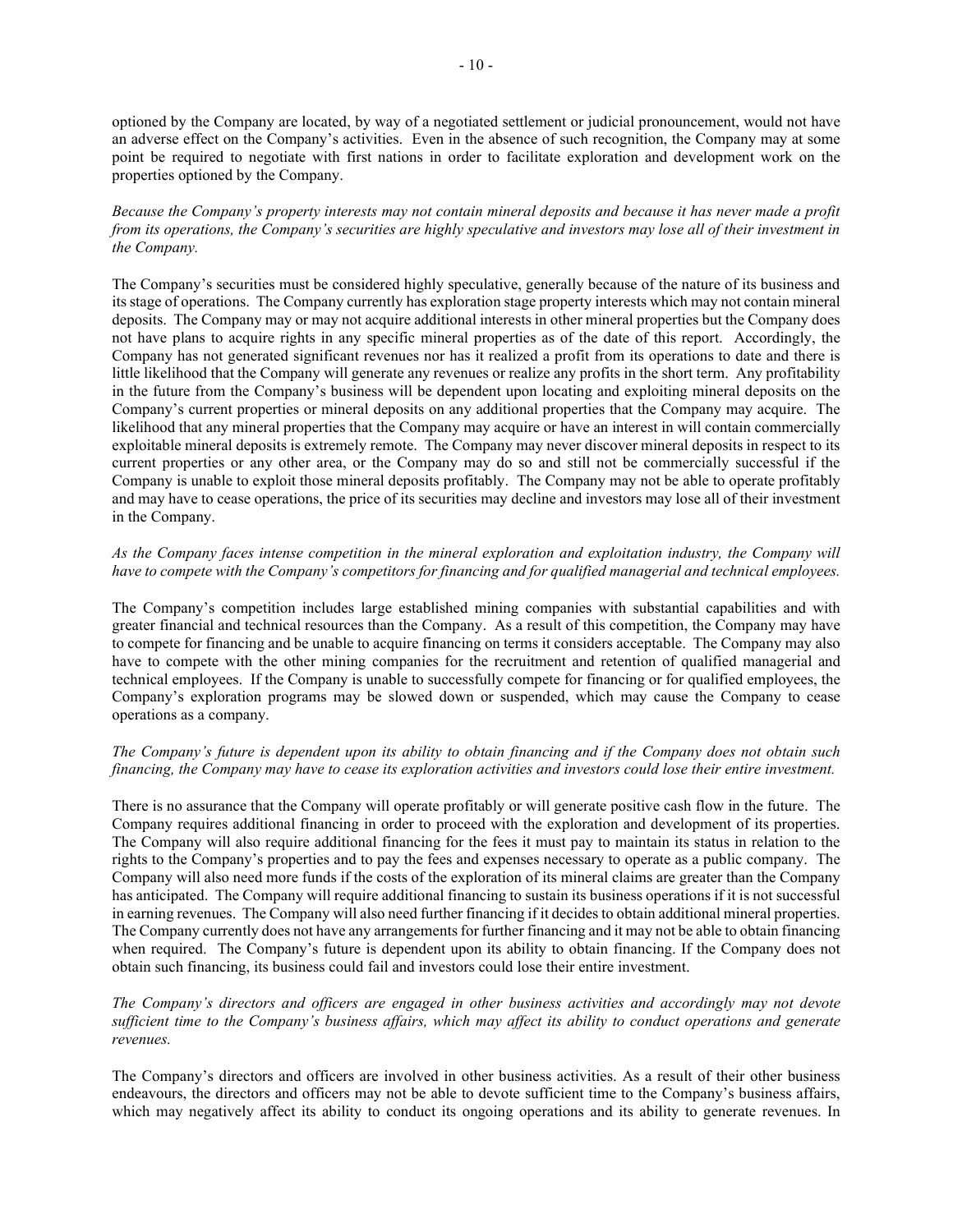optioned by the Company are located, by way of a negotiated settlement or judicial pronouncement, would not have an adverse effect on the Company's activities. Even in the absence of such recognition, the Company may at some point be required to negotiate with first nations in order to facilitate exploration and development work on the properties optioned by the Company.

*Because the Company's property interests may not contain mineral deposits and because it has never made a profit from its operations, the Company's securities are highly speculative and investors may lose all of their investment in the Company.*

The Company's securities must be considered highly speculative, generally because of the nature of its business and its stage of operations. The Company currently has exploration stage property interests which may not contain mineral deposits. The Company may or may not acquire additional interests in other mineral properties but the Company does not have plans to acquire rights in any specific mineral properties as of the date of this report. Accordingly, the Company has not generated significant revenues nor has it realized a profit from its operations to date and there is little likelihood that the Company will generate any revenues or realize any profits in the short term. Any profitability in the future from the Company's business will be dependent upon locating and exploiting mineral deposits on the Company's current properties or mineral deposits on any additional properties that the Company may acquire. The likelihood that any mineral properties that the Company may acquire or have an interest in will contain commercially exploitable mineral deposits is extremely remote. The Company may never discover mineral deposits in respect to its current properties or any other area, or the Company may do so and still not be commercially successful if the Company is unable to exploit those mineral deposits profitably. The Company may not be able to operate profitably and may have to cease operations, the price of its securities may decline and investors may lose all of their investment in the Company.

## *As the Company faces intense competition in the mineral exploration and exploitation industry, the Company will have to compete with the Company's competitors for financing and for qualified managerial and technical employees.*

The Company's competition includes large established mining companies with substantial capabilities and with greater financial and technical resources than the Company. As a result of this competition, the Company may have to compete for financing and be unable to acquire financing on terms it considers acceptable. The Company may also have to compete with the other mining companies for the recruitment and retention of qualified managerial and technical employees. If the Company is unable to successfully compete for financing or for qualified employees, the Company's exploration programs may be slowed down or suspended, which may cause the Company to cease operations as a company.

#### *The Company's future is dependent upon its ability to obtain financing and if the Company does not obtain such financing, the Company may have to cease its exploration activities and investors could lose their entire investment.*

There is no assurance that the Company will operate profitably or will generate positive cash flow in the future. The Company requires additional financing in order to proceed with the exploration and development of its properties. The Company will also require additional financing for the fees it must pay to maintain its status in relation to the rights to the Company's properties and to pay the fees and expenses necessary to operate as a public company. The Company will also need more funds if the costs of the exploration of its mineral claims are greater than the Company has anticipated. The Company will require additional financing to sustain its business operations if it is not successful in earning revenues. The Company will also need further financing if it decides to obtain additional mineral properties. The Company currently does not have any arrangements for further financing and it may not be able to obtain financing when required. The Company's future is dependent upon its ability to obtain financing. If the Company does not obtain such financing, its business could fail and investors could lose their entire investment.

## *The Company's directors and officers are engaged in other business activities and accordingly may not devote sufficient time to the Company's business affairs, which may affect its ability to conduct operations and generate revenues.*

The Company's directors and officers are involved in other business activities. As a result of their other business endeavours, the directors and officers may not be able to devote sufficient time to the Company's business affairs, which may negatively affect its ability to conduct its ongoing operations and its ability to generate revenues. In